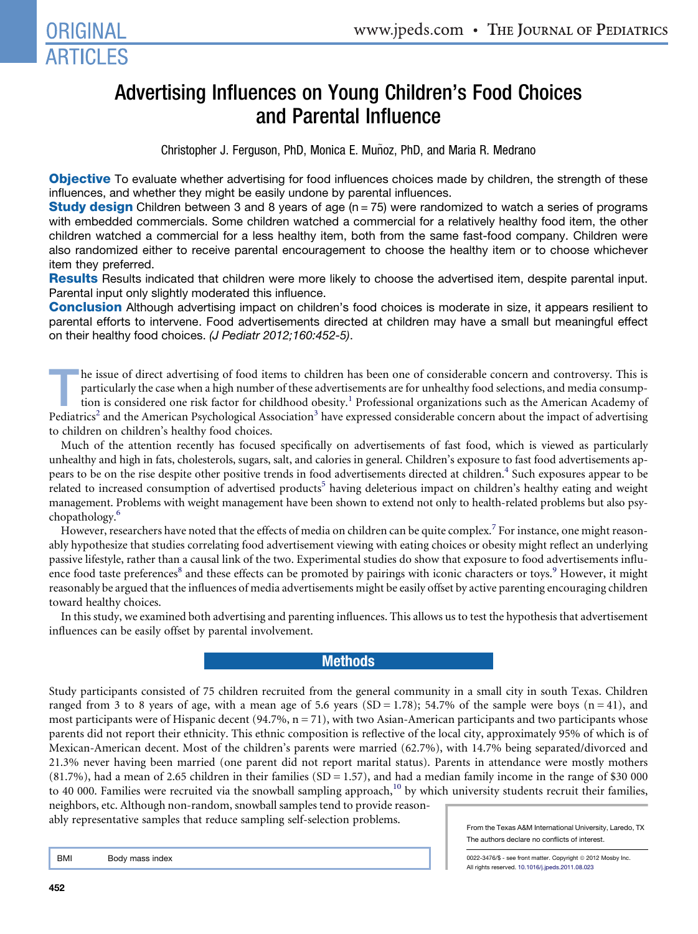# Advertising Influences on Young Children's Food Choices and Parental Influence

Christopher J. Ferguson, PhD, Monica E. Muñoz, PhD, and Maria R. Medrano

Objective To evaluate whether advertising for food influences choices made by children, the strength of these influences, and whether they might be easily undone by parental influences.

**Study design** Children between 3 and 8 years of age  $(n = 75)$  were randomized to watch a series of programs with embedded commercials. Some children watched a commercial for a relatively healthy food item, the other children watched a commercial for a less healthy item, both from the same fast-food company. Children were also randomized either to receive parental encouragement to choose the healthy item or to choose whichever item they preferred.

Results Results indicated that children were more likely to choose the advertised item, despite parental input. Parental input only slightly moderated this influence.

**Conclusion** Although advertising impact on children's food choices is moderate in size, it appears resilient to parental efforts to intervene. Food advertisements directed at children may have a small but meaningful effect on their healthy food choices. *(J Pediatr 2012;160:452-5)*.

The issue of direct advertising of food items to children has been one of considerable concern and controversy. This is<br>particularly the case when a high number of these advertisements are for unhealthy food selections, an particularly the case when a high number of these advertisements are for unhealthy food selections, and media consump-Pediatrics<sup>[2](#page-2-0)</sup> and the American Psychological Association<sup>[3](#page-2-0)</sup> have expressed considerable concern about the impact of advertising to children on children's healthy food choices.

Much of the attention recently has focused specifically on advertisements of fast food, which is viewed as particularly unhealthy and high in fats, cholesterols, sugars, salt, and calories in general. Children's exposure to fast food advertisements ap-pears to be on the rise despite other positive trends in food advertisements directed at children.<sup>[4](#page-2-0)</sup> Such exposures appear to be related to increased consumption of advertised products<sup>5</sup> having deleterious impact on children's healthy eating and weight management. Problems with weight management have been shown to extend not only to health-related problems but also psychopathology.<sup>6</sup>

However, researchers have noted that the effects of media on children can be quite complex.<sup>[7](#page-2-0)</sup> For instance, one might reasonably hypothesize that studies correlating food advertisement viewing with eating choices or obesity might reflect an underlying passive lifestyle, rather than a causal link of the two. Experimental studies do show that exposure to food advertisements influ-ence food taste preferences<sup>[8](#page-2-0)</sup> and these effects can be promoted by pairings with iconic characters or toys.<sup>[9](#page-2-0)</sup> However, it might reasonably be argued that the influences of media advertisements might be easily offset by active parenting encouraging children toward healthy choices.

In this study, we examined both advertising and parenting influences. This allows us to test the hypothesis that advertisement influences can be easily offset by parental involvement.

### **Methods**

Study participants consisted of 75 children recruited from the general community in a small city in south Texas. Children ranged from 3 to 8 years of age, with a mean age of 5.6 years (SD = 1.78); 54.7% of the sample were boys (n = 41), and most participants were of Hispanic decent  $(94.7\%, n = 71)$ , with two Asian-American participants and two participants whose parents did not report their ethnicity. This ethnic composition is reflective of the local city, approximately 95% of which is of Mexican-American decent. Most of the children's parents were married (62.7%), with 14.7% being separated/divorced and 21.3% never having been married (one parent did not report marital status). Parents in attendance were mostly mothers  $(81.7%)$ , had a mean of 2.65 children in their families  $(SD = 1.57)$ , and had a median family income in the range of \$30 000 to 40 000. Families were recruited via the snowball sampling approach, $^{10}$  $^{10}$  $^{10}$  by which university students recruit their families,

neighbors, etc. Although non-random, snowball samples tend to provide reasonably representative samples that reduce sampling self-selection problems.<br>From the Texas A&M International University, Laredo, TX

The authors declare no conflicts of interest.

0022-3476/\$ - see front matter. Copyright @ 2012 Mosby Inc. All rights reserved. [10.1016/j.jpeds.2011.08.023](http://dx.doi.org/10.1016/j.jpeds.2011.08.023)

BMI Body mass index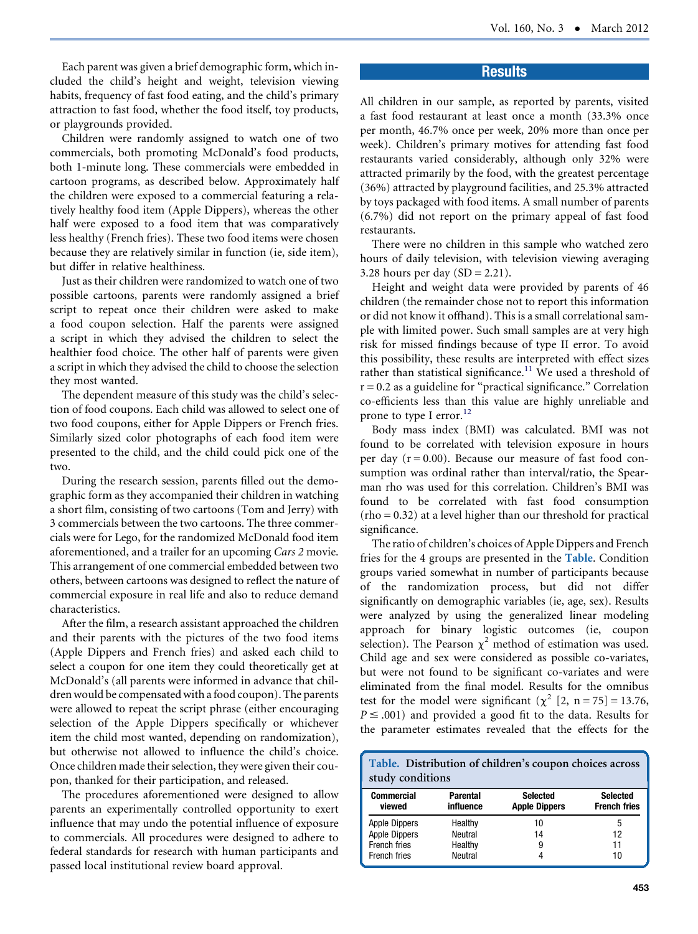Each parent was given a brief demographic form, which included the child's height and weight, television viewing habits, frequency of fast food eating, and the child's primary attraction to fast food, whether the food itself, toy products, or playgrounds provided.

Children were randomly assigned to watch one of two commercials, both promoting McDonald's food products, both 1-minute long. These commercials were embedded in cartoon programs, as described below. Approximately half the children were exposed to a commercial featuring a relatively healthy food item (Apple Dippers), whereas the other half were exposed to a food item that was comparatively less healthy (French fries). These two food items were chosen because they are relatively similar in function (ie, side item), but differ in relative healthiness.

Just as their children were randomized to watch one of two possible cartoons, parents were randomly assigned a brief script to repeat once their children were asked to make a food coupon selection. Half the parents were assigned a script in which they advised the children to select the healthier food choice. The other half of parents were given a script in which they advised the child to choose the selection they most wanted.

The dependent measure of this study was the child's selection of food coupons. Each child was allowed to select one of two food coupons, either for Apple Dippers or French fries. Similarly sized color photographs of each food item were presented to the child, and the child could pick one of the two.

During the research session, parents filled out the demographic form as they accompanied their children in watching a short film, consisting of two cartoons (Tom and Jerry) with 3 commercials between the two cartoons. The three commercials were for Lego, for the randomized McDonald food item aforementioned, and a trailer for an upcoming Cars 2 movie. This arrangement of one commercial embedded between two others, between cartoons was designed to reflect the nature of commercial exposure in real life and also to reduce demand characteristics.

After the film, a research assistant approached the children and their parents with the pictures of the two food items (Apple Dippers and French fries) and asked each child to select a coupon for one item they could theoretically get at McDonald's (all parents were informed in advance that children would be compensated with a food coupon). The parents were allowed to repeat the script phrase (either encouraging selection of the Apple Dippers specifically or whichever item the child most wanted, depending on randomization), but otherwise not allowed to influence the child's choice. Once children made their selection, they were given their coupon, thanked for their participation, and released.

The procedures aforementioned were designed to allow parents an experimentally controlled opportunity to exert influence that may undo the potential influence of exposure to commercials. All procedures were designed to adhere to federal standards for research with human participants and passed local institutional review board approval.

#### **Results**

All children in our sample, as reported by parents, visited a fast food restaurant at least once a month (33.3% once per month, 46.7% once per week, 20% more than once per week). Children's primary motives for attending fast food restaurants varied considerably, although only 32% were attracted primarily by the food, with the greatest percentage (36%) attracted by playground facilities, and 25.3% attracted by toys packaged with food items. A small number of parents (6.7%) did not report on the primary appeal of fast food restaurants.

There were no children in this sample who watched zero hours of daily television, with television viewing averaging 3.28 hours per day  $(SD = 2.21)$ .

Height and weight data were provided by parents of 46 children (the remainder chose not to report this information or did not know it offhand). This is a small correlational sample with limited power. Such small samples are at very high risk for missed findings because of type II error. To avoid this possibility, these results are interpreted with effect sizes rather than statistical significance.<sup>11</sup> We used a threshold of  $r = 0.2$  as a guideline for "practical significance." Correlation co-efficients less than this value are highly unreliable and prone to type I error.<sup>[12](#page-3-0)</sup>

Body mass index (BMI) was calculated. BMI was not found to be correlated with television exposure in hours per day  $(r = 0.00)$ . Because our measure of fast food consumption was ordinal rather than interval/ratio, the Spearman rho was used for this correlation. Children's BMI was found to be correlated with fast food consumption  $(rho = 0.32)$  at a level higher than our threshold for practical significance.

The ratio of children's choices of Apple Dippers and French fries for the 4 groups are presented in the Table. Condition groups varied somewhat in number of participants because of the randomization process, but did not differ significantly on demographic variables (ie, age, sex). Results were analyzed by using the generalized linear modeling approach for binary logistic outcomes (ie, coupon selection). The Pearson  $\chi^2$  method of estimation was used. Child age and sex were considered as possible co-variates, but were not found to be significant co-variates and were eliminated from the final model. Results for the omnibus test for the model were significant ( $\chi^2$  [2, n = 75] = 13.76,  $P \leq .001$ ) and provided a good fit to the data. Results for the parameter estimates revealed that the effects for the

Table. Distribution of children's coupon choices across study conditions

| staay conditions            |                              |                                  |                                        |
|-----------------------------|------------------------------|----------------------------------|----------------------------------------|
| <b>Commercial</b><br>viewed | <b>Parental</b><br>influence | Selected<br><b>Apple Dippers</b> | <b>Selected</b><br><b>French fries</b> |
| Apple Dippers               | Healthy                      | 10                               | 5                                      |
| <b>Apple Dippers</b>        | Neutral                      | 14                               | 12                                     |
| French fries                | Healthy                      | 9                                | 11                                     |
| French fries                | Neutral                      |                                  | 10                                     |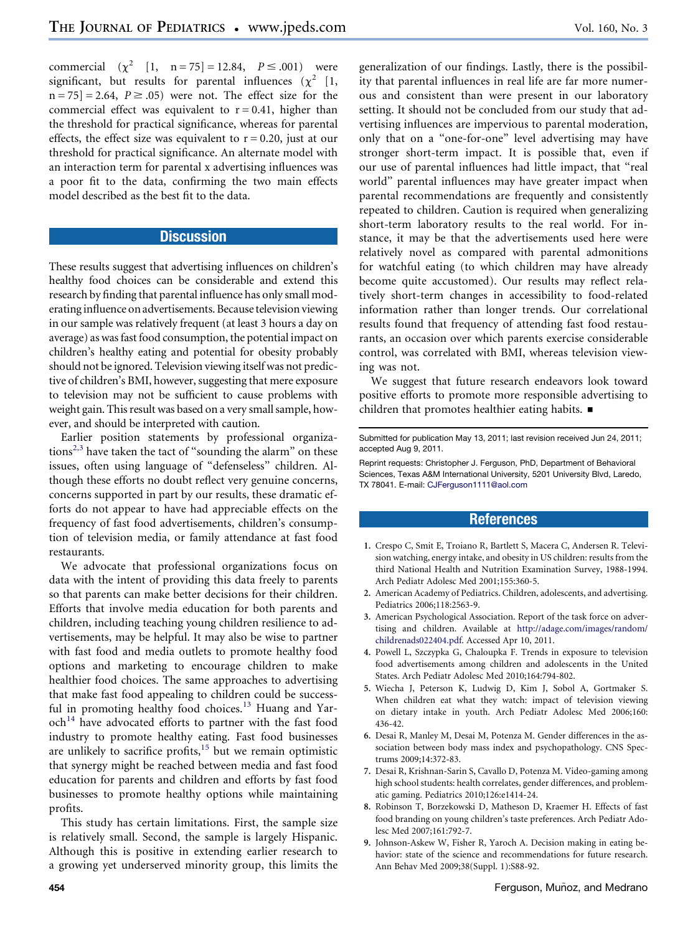<span id="page-2-0"></span>commercial  $(\chi^2 \quad [1, n = 75] = 12.84, P \le .001)$  were significant, but results for parental influences  $(\chi^2)$  [1,  $n = 75$ ] = 2.64,  $P \ge 0.05$ ) were not. The effect size for the commercial effect was equivalent to  $r = 0.41$ , higher than the threshold for practical significance, whereas for parental effects, the effect size was equivalent to  $r = 0.20$ , just at our threshold for practical significance. An alternate model with an interaction term for parental x advertising influences was a poor fit to the data, confirming the two main effects model described as the best fit to the data.

#### **Discussion**

These results suggest that advertising influences on children's healthy food choices can be considerable and extend this research by finding that parental influence has only small moderating influence on advertisements. Because television viewing in our sample was relatively frequent (at least 3 hours a day on average) as was fast food consumption, the potential impact on children's healthy eating and potential for obesity probably should not be ignored. Television viewing itself was not predictive of children's BMI, however, suggesting that mere exposure to television may not be sufficient to cause problems with weight gain. This result was based on a very small sample, however, and should be interpreted with caution.

Earlier position statements by professional organizations<sup>2,3</sup> have taken the tact of "sounding the alarm" on these issues, often using language of ''defenseless'' children. Although these efforts no doubt reflect very genuine concerns, concerns supported in part by our results, these dramatic efforts do not appear to have had appreciable effects on the frequency of fast food advertisements, children's consumption of television media, or family attendance at fast food restaurants.

We advocate that professional organizations focus on data with the intent of providing this data freely to parents so that parents can make better decisions for their children. Efforts that involve media education for both parents and children, including teaching young children resilience to advertisements, may be helpful. It may also be wise to partner with fast food and media outlets to promote healthy food options and marketing to encourage children to make healthier food choices. The same approaches to advertising that make fast food appealing to children could be success-ful in promoting healthy food choices.<sup>[13](#page-3-0)</sup> Huang and Yar-och<sup>[14](#page-3-0)</sup> have advocated efforts to partner with the fast food industry to promote healthy eating. Fast food businesses are unlikely to sacrifice profits, $15$  but we remain optimistic that synergy might be reached between media and fast food education for parents and children and efforts by fast food businesses to promote healthy options while maintaining profits.

This study has certain limitations. First, the sample size is relatively small. Second, the sample is largely Hispanic. Although this is positive in extending earlier research to a growing yet underserved minority group, this limits the

generalization of our findings. Lastly, there is the possibility that parental influences in real life are far more numerous and consistent than were present in our laboratory setting. It should not be concluded from our study that advertising influences are impervious to parental moderation, only that on a ''one-for-one'' level advertising may have stronger short-term impact. It is possible that, even if our use of parental influences had little impact, that ''real world'' parental influences may have greater impact when parental recommendations are frequently and consistently repeated to children. Caution is required when generalizing short-term laboratory results to the real world. For instance, it may be that the advertisements used here were relatively novel as compared with parental admonitions for watchful eating (to which children may have already become quite accustomed). Our results may reflect relatively short-term changes in accessibility to food-related information rather than longer trends. Our correlational results found that frequency of attending fast food restaurants, an occasion over which parents exercise considerable control, was correlated with BMI, whereas television viewing was not.

We suggest that future research endeavors look toward positive efforts to promote more responsible advertising to children that promotes healthier eating habits.  $\blacksquare$ 

Submitted for publication May 13, 2011; last revision received Jun 24, 2011; accepted Aug 9, 2011.

Reprint requests: Christopher J. Ferguson, PhD, Department of Behavioral Sciences, Texas A&M International University, 5201 University Blvd, Laredo, TX 78041. E-mail: [CJFerguson1111@aol.com](mailto:CJFerguson1111@aol.com)

## References

- 1. Crespo C, Smit E, Troiano R, Bartlett S, Macera C, Andersen R. Television watching, energy intake, and obesity in US children: results from the third National Health and Nutrition Examination Survey, 1988-1994. Arch Pediatr Adolesc Med 2001;155:360-5.
- 2. American Academy of Pediatrics. Children, adolescents, and advertising. Pediatrics 2006;118:2563-9.
- 3. American Psychological Association. Report of the task force on advertising and children. Available at [http://adage.com/images/random/](http://adage.com/images/random/childrenads022404.pdf) [childrenads022404.pdf](http://adage.com/images/random/childrenads022404.pdf). Accessed Apr 10, 2011.
- 4. Powell L, Szczypka G, Chaloupka F. Trends in exposure to television food advertisements among children and adolescents in the United States. Arch Pediatr Adolesc Med 2010;164:794-802.
- 5. Wiecha J, Peterson K, Ludwig D, Kim J, Sobol A, Gortmaker S. When children eat what they watch: impact of television viewing on dietary intake in youth. Arch Pediatr Adolesc Med 2006;160: 436-42.
- 6. Desai R, Manley M, Desai M, Potenza M. Gender differences in the association between body mass index and psychopathology. CNS Spectrums 2009;14:372-83.
- 7. Desai R, Krishnan-Sarin S, Cavallo D, Potenza M. Video-gaming among high school students: health correlates, gender differences, and problematic gaming. Pediatrics 2010;126:e1414-24.
- 8. Robinson T, Borzekowski D, Matheson D, Kraemer H. Effects of fast food branding on young children's taste preferences. Arch Pediatr Adolesc Med 2007;161:792-7.
- 9. Johnson-Askew W, Fisher R, Yaroch A. Decision making in eating behavior: state of the science and recommendations for future research. Ann Behav Med 2009;38(Suppl. 1):S88-92.